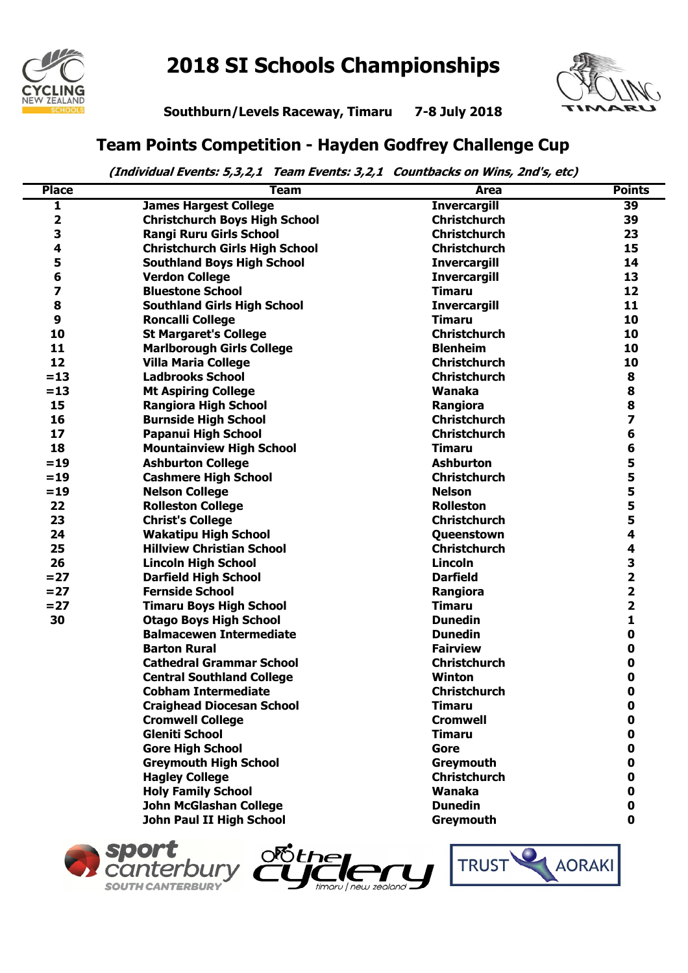

## **2018 SI Schools Championships**



**Southburn/Levels Raceway, Timaru 7-8 July 2018**

## **Team Points Competition - Hayden Godfrey Challenge Cup**

 **(Individual Events: 5,3,2,1 Team Events: 3,2,1 Countbacks on Wins, 2nd's, etc)**

| <b>Place</b> | <b>Team</b>                           | Area                | <b>Points</b>           |
|--------------|---------------------------------------|---------------------|-------------------------|
| 1            | <b>James Hargest College</b>          | <b>Invercargill</b> | $\overline{39}$         |
| 2            | <b>Christchurch Boys High School</b>  | <b>Christchurch</b> | 39                      |
| 3            | <b>Rangi Ruru Girls School</b>        | <b>Christchurch</b> | 23                      |
| 4            | <b>Christchurch Girls High School</b> | <b>Christchurch</b> | 15                      |
| 5            | <b>Southland Boys High School</b>     | <b>Invercargill</b> | 14                      |
| 6            | <b>Verdon College</b>                 | <b>Invercargill</b> | 13                      |
| 7            | <b>Bluestone School</b>               | <b>Timaru</b>       | 12                      |
| 8            | <b>Southland Girls High School</b>    | <b>Invercargill</b> | 11                      |
| 9            | <b>Roncalli College</b>               | <b>Timaru</b>       | 10                      |
| 10           | <b>St Margaret's College</b>          | <b>Christchurch</b> | 10                      |
| 11           | <b>Marlborough Girls College</b>      | <b>Blenheim</b>     | 10                      |
| 12           | <b>Villa Maria College</b>            | <b>Christchurch</b> | 10                      |
| $=13$        | <b>Ladbrooks School</b>               | <b>Christchurch</b> | 8                       |
| $=13$        | <b>Mt Aspiring College</b>            | Wanaka              | 8                       |
| 15           | <b>Rangiora High School</b>           | Rangiora            | 8                       |
| 16           | <b>Burnside High School</b>           | <b>Christchurch</b> | $\overline{z}$          |
| 17           | <b>Papanui High School</b>            | <b>Christchurch</b> | 6                       |
| 18           | <b>Mountainview High School</b>       | <b>Timaru</b>       | 6                       |
| $= 19$       | <b>Ashburton College</b>              | <b>Ashburton</b>    | 5                       |
| $= 19$       | <b>Cashmere High School</b>           | <b>Christchurch</b> | 5                       |
| $=19$        | <b>Nelson College</b>                 | <b>Nelson</b>       | 5                       |
| 22           | <b>Rolleston College</b>              | <b>Rolleston</b>    | 5                       |
| 23           | <b>Christ's College</b>               | <b>Christchurch</b> | 5                       |
| 24           | <b>Wakatipu High School</b>           | Queenstown          | 4                       |
| 25           | <b>Hillview Christian School</b>      | <b>Christchurch</b> | 4                       |
| 26           | <b>Lincoln High School</b>            | <b>Lincoln</b>      | 3                       |
| $= 27$       | <b>Darfield High School</b>           | <b>Darfield</b>     | $\overline{\mathbf{2}}$ |
| $= 27$       | <b>Fernside School</b>                | Rangiora            | $\overline{\mathbf{2}}$ |
| $= 27$       | <b>Timaru Boys High School</b>        | <b>Timaru</b>       | $\overline{\mathbf{2}}$ |
| 30           | <b>Otago Boys High School</b>         | <b>Dunedin</b>      | 1                       |
|              | <b>Balmacewen Intermediate</b>        | <b>Dunedin</b>      | 0                       |
|              | <b>Barton Rural</b>                   | <b>Fairview</b>     | 0                       |
|              | <b>Cathedral Grammar School</b>       | <b>Christchurch</b> | 0                       |
|              | <b>Central Southland College</b>      | <b>Winton</b>       | 0                       |
|              | <b>Cobham Intermediate</b>            | <b>Christchurch</b> | $\mathbf 0$             |
|              | <b>Craighead Diocesan School</b>      | <b>Timaru</b>       | 0                       |
|              | <b>Cromwell College</b>               | <b>Cromwell</b>     | 0                       |
|              | <b>Gleniti School</b>                 | <b>Timaru</b>       | 0                       |
|              | <b>Gore High School</b>               | Gore                | 0                       |
|              | <b>Greymouth High School</b>          | Greymouth           | 0                       |
|              | <b>Hagley College</b>                 | <b>Christchurch</b> | 0                       |
|              | <b>Holy Family School</b>             | Wanaka              | 0                       |
|              | <b>John McGlashan College</b>         | <b>Dunedin</b>      | 0                       |
|              | John Paul II High School              | Greymouth           | $\mathbf 0$             |





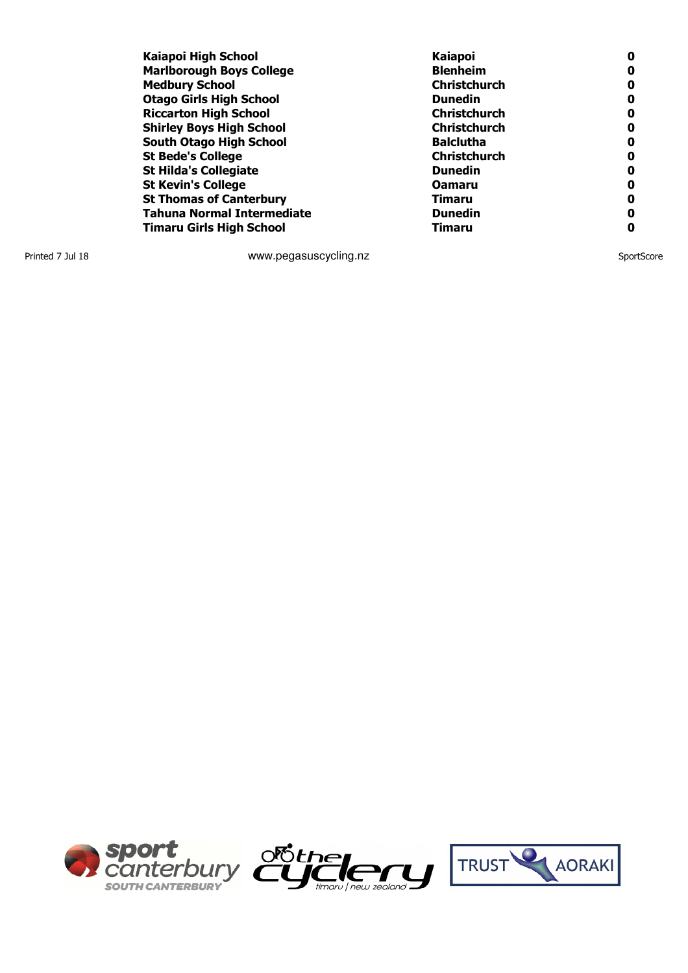| Kaiapoi High School               | <b>Kaiapoi</b>      | 0 |
|-----------------------------------|---------------------|---|
| <b>Marlborough Boys College</b>   | <b>Blenheim</b>     | 0 |
| <b>Medbury School</b>             | <b>Christchurch</b> | 0 |
| <b>Otago Girls High School</b>    | <b>Dunedin</b>      | 0 |
| <b>Riccarton High School</b>      | <b>Christchurch</b> | 0 |
| <b>Shirley Boys High School</b>   | <b>Christchurch</b> | 0 |
| South Otago High School           | <b>Balclutha</b>    | 0 |
| <b>St Bede's College</b>          | <b>Christchurch</b> | 0 |
| <b>St Hilda's Collegiate</b>      | <b>Dunedin</b>      | 0 |
| <b>St Kevin's College</b>         | <b>Oamaru</b>       | 0 |
| <b>St Thomas of Canterbury</b>    | Timaru              | 0 |
| <b>Tahuna Normal Intermediate</b> | <b>Dunedin</b>      | 0 |
| <b>Timaru Girls High School</b>   | Timaru              | Ω |

Printed 7 Jul 18 SportScore **WWW.pegasuscycling.nz** SportScore SportScore